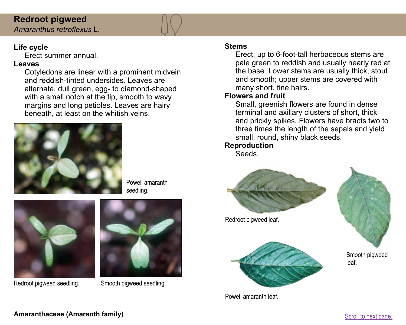### **Redroot pigweed**  *Amaranthus retroflexus* L.

# **Life cycle**

Erect summer annual.

# **Leaves**

Cotyledons are linear with a prominent midvein and reddish-tinted undersides. Leaves are alternate, dull green, egg- to diamond-shaped with a small notch at the tip, smooth to wavy margins and long petioles. Leaves are hairy beneath, at least on the whitish veins.



Powell amaranth seedling.



Redroot pigweed seedling. Smooth pigweed seedling.



### **Stems**

Erect, up to 6-foot-tall herbaceous stems are pale green to reddish and usually nearly red at the base. Lower stems are usually thick, stout and smooth; upper stems are covered with many short, fine hairs.

### **Flowers and fruit**

Small, greenish flowers are found in dense terminal and axillary clusters of short, thick and prickly spikes. Flowers have bracts two to three times the length of the sepals and yield small, round, shiny black seeds.

# **Reproduction**

Seeds.



Powell amaranth leaf.